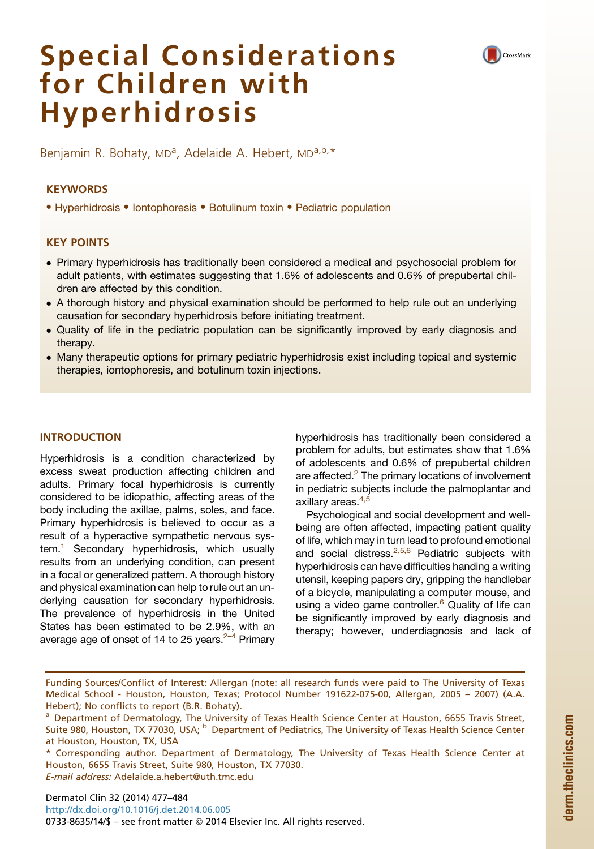

# Special Considerations for Children with Hyperhidrosis

Benjamin R. Bohaty, MD<sup>a</sup>, Adelaide A. Hebert, MD<sup>a,b,\*</sup>

# **KEYWORDS**

• Hyperhidrosis • Iontophoresis • Botulinum toxin • Pediatric population

# KEY POINTS

- Primary hyperhidrosis has traditionally been considered a medical and psychosocial problem for adult patients, with estimates suggesting that 1.6% of adolescents and 0.6% of prepubertal children are affected by this condition.
- A thorough history and physical examination should be performed to help rule out an underlying causation for secondary hyperhidrosis before initiating treatment.
- Quality of life in the pediatric population can be significantly improved by early diagnosis and therapy.
- Many therapeutic options for primary pediatric hyperhidrosis exist including topical and systemic therapies, iontophoresis, and botulinum toxin injections.

# INTRODUCTION

Hyperhidrosis is a condition characterized by excess sweat production affecting children and adults. Primary focal hyperhidrosis is currently considered to be idiopathic, affecting areas of the body including the axillae, palms, soles, and face. Primary hyperhidrosis is believed to occur as a result of a hyperactive sympathetic nervous system.<sup>1</sup> Secondary hyperhidrosis, which usually results from an underlying condition, can present in a focal or generalized pattern. A thorough history and physical examination can help to rule out an underlying causation for secondary hyperhidrosis. The prevalence of hyperhidrosis in the United States has been estimated to be 2.9%, with an average age of onset of 14 to 25 years. $2-4$  Primary hyperhidrosis has traditionally been considered a problem for adults, but estimates show that 1.6% of adolescents and 0.6% of prepubertal children are affected.<sup>2</sup> The primary locations of involvement in pediatric subjects include the palmoplantar and axillary areas.<sup>4,5</sup>

Psychological and social development and wellbeing are often affected, impacting patient quality of life, which may in turn lead to profound emotional and social distress. $2,5,6$  Pediatric subjects with hyperhidrosis can have difficulties handing a writing utensil, keeping papers dry, gripping the handlebar of a bicycle, manipulating a computer mouse, and using a video game controller. $6$  Quality of life can be significantly improved by early diagnosis and therapy; however, underdiagnosis and lack of

Funding Sources/Conflict of Interest: Allergan (note: all research funds were paid to The University of Texas Medical School - Houston, Houston, Texas; Protocol Number 191622-075-00, Allergan, 2005 – 2007) (A.A. Hebert); No conflicts to report (B.R. Bohaty).

\* Corresponding author. Department of Dermatology, The University of Texas Health Science Center at Houston, 6655 Travis Street, Suite 980, Houston, TX 77030. E-mail address: [Adelaide.a.hebert@uth.tmc.edu](mailto:Adelaide.a.hebert@uth.tmc.edu)

Dermatol Clin 32 (2014) 477–484 <http://dx.doi.org/10.1016/j.det.2014.06.005> 0733-8635/14/\$ - see front matter © 2014 Elsevier Inc. All rights reserved.

a Department of Dermatology, The University of Texas Health Science Center at Houston, 6655 Travis Street, Suite 980, Houston, TX 77030, USA; <sup>b</sup> Department of Pediatrics, The University of Texas Health Science Center at Houston, Houston, TX, USA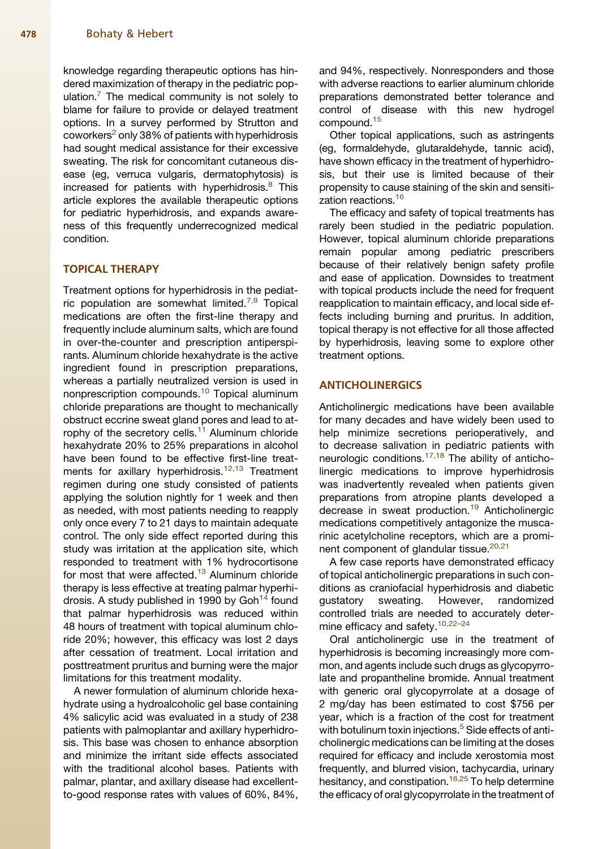knowledge regarding therapeutic options has hindered maximization of therapy in the pediatric population. $<sup>7</sup>$  The medical community is not solely to</sup> blame for failure to provide or delayed treatment options. In a survey performed by Strutton and coworkers<sup>2</sup> only 38% of patients with hyperhidrosis had sought medical assistance for their excessive sweating. The risk for concomitant cutaneous disease (eg, verruca vulgaris, dermatophytosis) is increased for patients with hyperhidrosis.<sup>[8](#page-6-0)</sup> This article explores the available therapeutic options for pediatric hyperhidrosis, and expands awareness of this frequently underrecognized medical condition.

## TOPICAL THERAPY

Treatment options for hyperhidrosis in the pediat-ric population are somewhat limited.<sup>[7,9](#page-6-0)</sup> Topical medications are often the first-line therapy and frequently include aluminum salts, which are found in over-the-counter and prescription antiperspirants. Aluminum chloride hexahydrate is the active ingredient found in prescription preparations, whereas a partially neutralized version is used in nonprescription compounds.<sup>[10](#page-6-0)</sup> Topical aluminum chloride preparations are thought to mechanically obstruct eccrine sweat gland pores and lead to at-rophy of the secretory cells.<sup>[11](#page-6-0)</sup> Aluminum chloride hexahydrate 20% to 25% preparations in alcohol have been found to be effective first-line treat-ments for axillary hyperhidrosis.<sup>[12,13](#page-6-0)</sup> Treatment regimen during one study consisted of patients applying the solution nightly for 1 week and then as needed, with most patients needing to reapply only once every 7 to 21 days to maintain adequate control. The only side effect reported during this study was irritation at the application site, which responded to treatment with 1% hydrocortisone for most that were affected.<sup>[13](#page-6-0)</sup> Aluminum chloride therapy is less effective at treating palmar hyperhidrosis. A study published in 1990 by Goh $<sup>14</sup>$  $<sup>14</sup>$  $<sup>14</sup>$  found</sup> that palmar hyperhidrosis was reduced within 48 hours of treatment with topical aluminum chloride 20%; however, this efficacy was lost 2 days after cessation of treatment. Local irritation and posttreatment pruritus and burning were the major limitations for this treatment modality.

A newer formulation of aluminum chloride hexahydrate using a hydroalcoholic gel base containing 4% salicylic acid was evaluated in a study of 238 patients with palmoplantar and axillary hyperhidrosis. This base was chosen to enhance absorption and minimize the irritant side effects associated with the traditional alcohol bases. Patients with palmar, plantar, and axillary disease had excellentto-good response rates with values of 60%, 84%,

and 94%, respectively. Nonresponders and those with adverse reactions to earlier aluminum chloride preparations demonstrated better tolerance and control of disease with this new hydrogel compound[.15](#page-7-0)

Other topical applications, such as astringents (eg, formaldehyde, glutaraldehyde, tannic acid), have shown efficacy in the treatment of hyperhidrosis, but their use is limited because of their propensity to cause staining of the skin and sensitization reactions.<sup>16</sup>

The efficacy and safety of topical treatments has rarely been studied in the pediatric population. However, topical aluminum chloride preparations remain popular among pediatric prescribers because of their relatively benign safety profile and ease of application. Downsides to treatment with topical products include the need for frequent reapplication to maintain efficacy, and local side effects including burning and pruritus. In addition, topical therapy is not effective for all those affected by hyperhidrosis, leaving some to explore other treatment options.

## ANTICHOLINERGICS

Anticholinergic medications have been available for many decades and have widely been used to help minimize secretions perioperatively, and to decrease salivation in pediatric patients with neurologic conditions.[17,18](#page-7-0) The ability of anticholinergic medications to improve hyperhidrosis was inadvertently revealed when patients given preparations from atropine plants developed a decrease in sweat production.<sup>[19](#page-7-0)</sup> Anticholinergic medications competitively antagonize the muscarinic acetylcholine receptors, which are a promi-nent component of glandular tissue.<sup>[20,21](#page-7-0)</sup>

A few case reports have demonstrated efficacy of topical anticholinergic preparations in such conditions as craniofacial hyperhidrosis and diabetic gustatory sweating. However, randomized controlled trials are needed to accurately determine efficacy and safety.<sup>10,22-24</sup>

Oral anticholinergic use in the treatment of hyperhidrosis is becoming increasingly more common, and agents include such drugs as glycopyrrolate and propantheline bromide. Annual treatment with generic oral glycopyrrolate at a dosage of 2 mg/day has been estimated to cost \$756 per year, which is a fraction of the cost for treatment with botulinum toxin injections.<sup>5</sup> Side effects of anticholinergic medications can be limiting at the doses required for efficacy and include xerostomia most frequently, and blurred vision, tachycardia, urinary hesitancy, and constipation.<sup>[16,25](#page-7-0)</sup> To help determine the efficacy of oral glycopyrrolate in the treatment of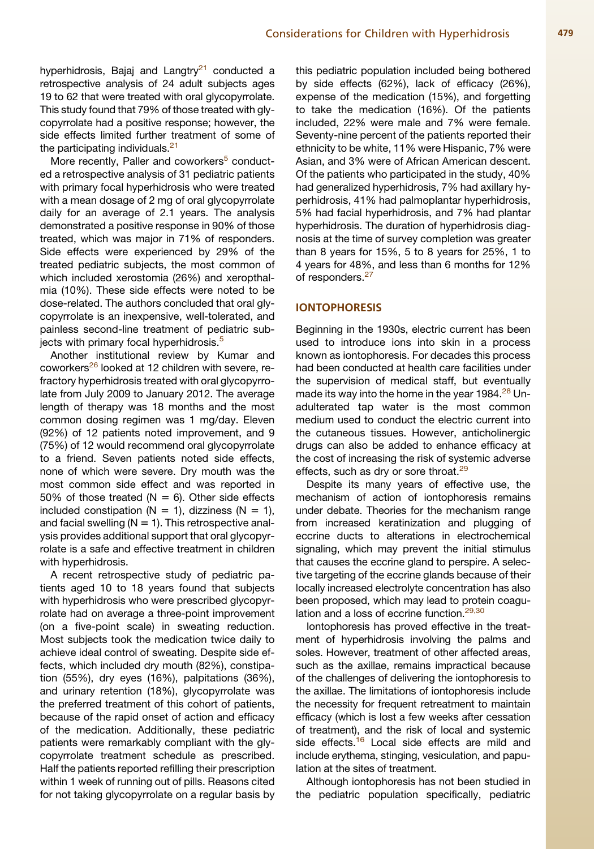hyperhidrosis, Bajaj and Langtry<sup>21</sup> conducted a retrospective analysis of 24 adult subjects ages 19 to 62 that were treated with oral glycopyrrolate. This study found that 79% of those treated with glycopyrrolate had a positive response; however, the side effects limited further treatment of some of the participating individuals.<sup>21</sup>

More recently, Paller and coworkers<sup>[5](#page-6-0)</sup> conducted a retrospective analysis of 31 pediatric patients with primary focal hyperhidrosis who were treated with a mean dosage of 2 mg of oral glycopyrrolate daily for an average of 2.1 years. The analysis demonstrated a positive response in 90% of those treated, which was major in 71% of responders. Side effects were experienced by 29% of the treated pediatric subjects, the most common of which included xerostomia (26%) and xeropthalmia (10%). These side effects were noted to be dose-related. The authors concluded that oral glycopyrrolate is an inexpensive, well-tolerated, and painless second-line treatment of pediatric sub-jects with primary focal hyperhidrosis.<sup>[5](#page-6-0)</sup>

Another institutional review by Kumar and coworkers<sup>[26](#page-7-0)</sup> looked at 12 children with severe, refractory hyperhidrosis treated with oral glycopyrrolate from July 2009 to January 2012. The average length of therapy was 18 months and the most common dosing regimen was 1 mg/day. Eleven (92%) of 12 patients noted improvement, and 9 (75%) of 12 would recommend oral glycopyrrolate to a friend. Seven patients noted side effects, none of which were severe. Dry mouth was the most common side effect and was reported in 50% of those treated ( $N = 6$ ). Other side effects included constipation (N = 1), dizziness (N = 1), and facial swelling  $(N = 1)$ . This retrospective analysis provides additional support that oral glycopyrrolate is a safe and effective treatment in children with hyperhidrosis.

A recent retrospective study of pediatric patients aged 10 to 18 years found that subjects with hyperhidrosis who were prescribed glycopyrrolate had on average a three-point improvement (on a five-point scale) in sweating reduction. Most subjects took the medication twice daily to achieve ideal control of sweating. Despite side effects, which included dry mouth (82%), constipation (55%), dry eyes (16%), palpitations (36%), and urinary retention (18%), glycopyrrolate was the preferred treatment of this cohort of patients, because of the rapid onset of action and efficacy of the medication. Additionally, these pediatric patients were remarkably compliant with the glycopyrrolate treatment schedule as prescribed. Half the patients reported refilling their prescription within 1 week of running out of pills. Reasons cited for not taking glycopyrrolate on a regular basis by

this pediatric population included being bothered by side effects (62%), lack of efficacy (26%), expense of the medication (15%), and forgetting to take the medication (16%). Of the patients included, 22% were male and 7% were female. Seventy-nine percent of the patients reported their ethnicity to be white, 11% were Hispanic, 7% were Asian, and 3% were of African American descent. Of the patients who participated in the study, 40% had generalized hyperhidrosis, 7% had axillary hyperhidrosis, 41% had palmoplantar hyperhidrosis, 5% had facial hyperhidrosis, and 7% had plantar hyperhidrosis. The duration of hyperhidrosis diagnosis at the time of survey completion was greater than 8 years for 15%, 5 to 8 years for 25%, 1 to 4 years for 48%, and less than 6 months for 12% of responders.<sup>[27](#page-7-0)</sup>

#### **IONTOPHORESIS**

Beginning in the 1930s, electric current has been used to introduce ions into skin in a process known as iontophoresis. For decades this process had been conducted at health care facilities under the supervision of medical staff, but eventually made its way into the home in the year 1984.<sup>[28](#page-7-0)</sup> Unadulterated tap water is the most common medium used to conduct the electric current into the cutaneous tissues. However, anticholinergic drugs can also be added to enhance efficacy at the cost of increasing the risk of systemic adverse effects, such as dry or sore throat.<sup>[29](#page-7-0)</sup>

Despite its many years of effective use, the mechanism of action of iontophoresis remains under debate. Theories for the mechanism range from increased keratinization and plugging of eccrine ducts to alterations in electrochemical signaling, which may prevent the initial stimulus that causes the eccrine gland to perspire. A selective targeting of the eccrine glands because of their locally increased electrolyte concentration has also been proposed, which may lead to protein coagulation and a loss of eccrine function.<sup>29,30</sup>

Iontophoresis has proved effective in the treatment of hyperhidrosis involving the palms and soles. However, treatment of other affected areas, such as the axillae, remains impractical because of the challenges of delivering the iontophoresis to the axillae. The limitations of iontophoresis include the necessity for frequent retreatment to maintain efficacy (which is lost a few weeks after cessation of treatment), and the risk of local and systemic side effects.<sup>16</sup> Local side effects are mild and include erythema, stinging, vesiculation, and papulation at the sites of treatment.

Although iontophoresis has not been studied in the pediatric population specifically, pediatric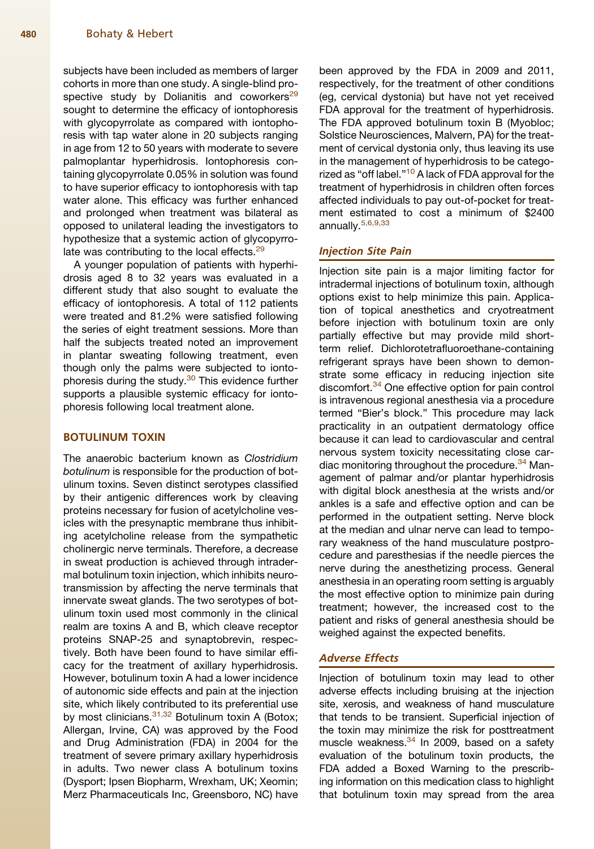subjects have been included as members of larger cohorts in more than one study. A single-blind pro-spective study by Dolianitis and coworkers<sup>[29](#page-7-0)</sup> sought to determine the efficacy of iontophoresis with glycopyrrolate as compared with iontophoresis with tap water alone in 20 subjects ranging in age from 12 to 50 years with moderate to severe palmoplantar hyperhidrosis. Iontophoresis containing glycopyrrolate 0.05% in solution was found to have superior efficacy to iontophoresis with tap water alone. This efficacy was further enhanced and prolonged when treatment was bilateral as opposed to unilateral leading the investigators to hypothesize that a systemic action of glycopyrro-late was contributing to the local effects.<sup>[29](#page-7-0)</sup>

A younger population of patients with hyperhidrosis aged 8 to 32 years was evaluated in a different study that also sought to evaluate the efficacy of iontophoresis. A total of 112 patients were treated and 81.2% were satisfied following the series of eight treatment sessions. More than half the subjects treated noted an improvement in plantar sweating following treatment, even though only the palms were subjected to ionto-phoresis during the study.<sup>[30](#page-7-0)</sup> This evidence further supports a plausible systemic efficacy for iontophoresis following local treatment alone.

# BOTULINUM TOXIN

The anaerobic bacterium known as *Clostridium botulinum* is responsible for the production of botulinum toxins. Seven distinct serotypes classified by their antigenic differences work by cleaving proteins necessary for fusion of acetylcholine vesicles with the presynaptic membrane thus inhibiting acetylcholine release from the sympathetic cholinergic nerve terminals. Therefore, a decrease in sweat production is achieved through intradermal botulinum toxin injection, which inhibits neurotransmission by affecting the nerve terminals that innervate sweat glands. The two serotypes of botulinum toxin used most commonly in the clinical realm are toxins A and B, which cleave receptor proteins SNAP-25 and synaptobrevin, respectively. Both have been found to have similar efficacy for the treatment of axillary hyperhidrosis. However, botulinum toxin A had a lower incidence of autonomic side effects and pain at the injection site, which likely contributed to its preferential use by most clinicians.<sup>[31,32](#page-7-0)</sup> Botulinum toxin A (Botox; Allergan, Irvine, CA) was approved by the Food and Drug Administration (FDA) in 2004 for the treatment of severe primary axillary hyperhidrosis in adults. Two newer class A botulinum toxins (Dysport; Ipsen Biopharm, Wrexham, UK; Xeomin; Merz Pharmaceuticals Inc, Greensboro, NC) have

been approved by the FDA in 2009 and 2011, respectively, for the treatment of other conditions (eg, cervical dystonia) but have not yet received FDA approval for the treatment of hyperhidrosis. The FDA approved botulinum toxin B (Myobloc; Solstice Neurosciences, Malvern, PA) for the treatment of cervical dystonia only, thus leaving its use in the management of hyperhidrosis to be categorized as "off label. $10^10$  $10^10$  A lack of FDA approval for the treatment of hyperhidrosis in children often forces affected individuals to pay out-of-pocket for treatment estimated to cost a minimum of \$2400 annually.[5,6,9,33](#page-6-0)

#### Injection Site Pain

Injection site pain is a major limiting factor for intradermal injections of botulinum toxin, although options exist to help minimize this pain. Application of topical anesthetics and cryotreatment before injection with botulinum toxin are only partially effective but may provide mild shortterm relief. Dichlorotetrafluoroethane-containing refrigerant sprays have been shown to demonstrate some efficacy in reducing injection site discomfort.<sup>[34](#page-7-0)</sup> One effective option for pain control is intravenous regional anesthesia via a procedure termed "Bier's block." This procedure may lack practicality in an outpatient dermatology office because it can lead to cardiovascular and central nervous system toxicity necessitating close car-diac monitoring throughout the procedure.<sup>[34](#page-7-0)</sup> Management of palmar and/or plantar hyperhidrosis with digital block anesthesia at the wrists and/or ankles is a safe and effective option and can be performed in the outpatient setting. Nerve block at the median and ulnar nerve can lead to temporary weakness of the hand musculature postprocedure and paresthesias if the needle pierces the nerve during the anesthetizing process. General anesthesia in an operating room setting is arguably the most effective option to minimize pain during treatment; however, the increased cost to the patient and risks of general anesthesia should be weighed against the expected benefits.

## Adverse Effects

Injection of botulinum toxin may lead to other adverse effects including bruising at the injection site, xerosis, and weakness of hand musculature that tends to be transient. Superficial injection of the toxin may minimize the risk for posttreatment muscle weakness.<sup>34</sup> In 2009, based on a safety evaluation of the botulinum toxin products, the FDA added a Boxed Warning to the prescribing information on this medication class to highlight that botulinum toxin may spread from the area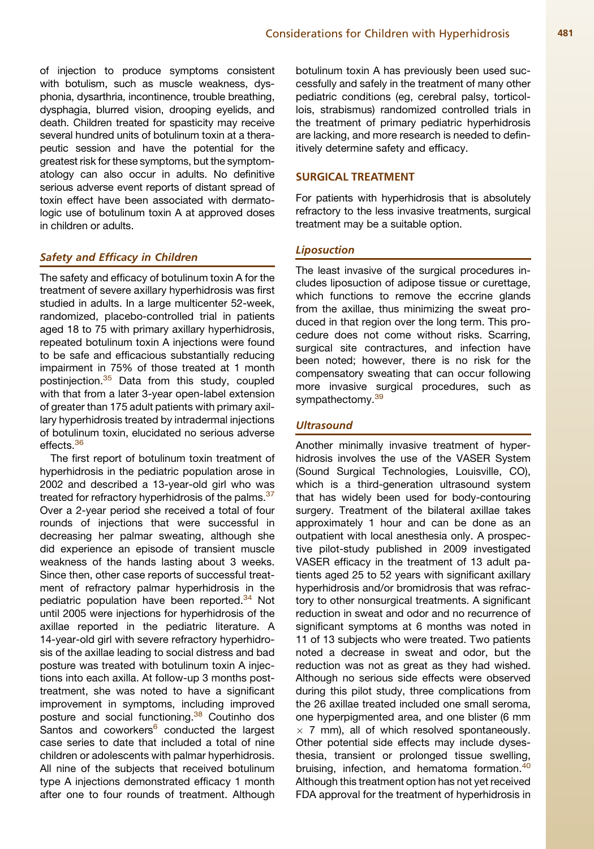of injection to produce symptoms consistent with botulism, such as muscle weakness, dysphonia, dysarthria, incontinence, trouble breathing, dysphagia, blurred vision, drooping eyelids, and death. Children treated for spasticity may receive several hundred units of botulinum toxin at a therapeutic session and have the potential for the greatest risk for these symptoms, but the symptomatology can also occur in adults. No definitive serious adverse event reports of distant spread of toxin effect have been associated with dermatologic use of botulinum toxin A at approved doses in children or adults.

# Safety and Efficacy in Children

The safety and efficacy of botulinum toxin A for the treatment of severe axillary hyperhidrosis was first studied in adults. In a large multicenter 52-week, randomized, placebo-controlled trial in patients aged 18 to 75 with primary axillary hyperhidrosis, repeated botulinum toxin A injections were found to be safe and efficacious substantially reducing impairment in 75% of those treated at 1 month postinjection.<sup>[35](#page-7-0)</sup> Data from this study, coupled with that from a later 3-year open-label extension of greater than 175 adult patients with primary axillary hyperhidrosis treated by intradermal injections of botulinum toxin, elucidated no serious adverse effects.<sup>[36](#page-7-0)</sup>

The first report of botulinum toxin treatment of hyperhidrosis in the pediatric population arose in 2002 and described a 13-year-old girl who was treated for refractory hyperhidrosis of the palms.<sup>[37](#page-7-0)</sup> Over a 2-year period she received a total of four rounds of injections that were successful in decreasing her palmar sweating, although she did experience an episode of transient muscle weakness of the hands lasting about 3 weeks. Since then, other case reports of successful treatment of refractory palmar hyperhidrosis in the pediatric population have been reported.<sup>[34](#page-7-0)</sup> Not until 2005 were injections for hyperhidrosis of the axillae reported in the pediatric literature. A 14-year-old girl with severe refractory hyperhidrosis of the axillae leading to social distress and bad posture was treated with botulinum toxin A injections into each axilla. At follow-up 3 months posttreatment, she was noted to have a significant improvement in symptoms, including improved posture and social functioning.<sup>[38](#page-7-0)</sup> Coutinho dos Santos and coworkers<sup>[6](#page-6-0)</sup> conducted the largest case series to date that included a total of nine children or adolescents with palmar hyperhidrosis. All nine of the subjects that received botulinum type A injections demonstrated efficacy 1 month after one to four rounds of treatment. Although

botulinum toxin A has previously been used successfully and safely in the treatment of many other pediatric conditions (eg, cerebral palsy, torticollois, strabismus) randomized controlled trials in the treatment of primary pediatric hyperhidrosis are lacking, and more research is needed to definitively determine safety and efficacy.

# SURGICAL TREATMENT

For patients with hyperhidrosis that is absolutely refractory to the less invasive treatments, surgical treatment may be a suitable option.

#### Liposuction

The least invasive of the surgical procedures includes liposuction of adipose tissue or curettage, which functions to remove the eccrine glands from the axillae, thus minimizing the sweat produced in that region over the long term. This procedure does not come without risks. Scarring, surgical site contractures, and infection have been noted; however, there is no risk for the compensatory sweating that can occur following more invasive surgical procedures, such as sympathectomy.<sup>[39](#page-7-0)</sup>

#### **Ultrasound**

Another minimally invasive treatment of hyperhidrosis involves the use of the VASER System (Sound Surgical Technologies, Louisville, CO), which is a third-generation ultrasound system that has widely been used for body-contouring surgery. Treatment of the bilateral axillae takes approximately 1 hour and can be done as an outpatient with local anesthesia only. A prospective pilot-study published in 2009 investigated VASER efficacy in the treatment of 13 adult patients aged 25 to 52 years with significant axillary hyperhidrosis and/or bromidrosis that was refractory to other nonsurgical treatments. A significant reduction in sweat and odor and no recurrence of significant symptoms at 6 months was noted in 11 of 13 subjects who were treated. Two patients noted a decrease in sweat and odor, but the reduction was not as great as they had wished. Although no serious side effects were observed during this pilot study, three complications from the 26 axillae treated included one small seroma, one hyperpigmented area, and one blister (6 mm  $\times$  7 mm), all of which resolved spontaneously. Other potential side effects may include dysesthesia, transient or prolonged tissue swelling, bruising, infection, and hematoma formation.<sup>[40](#page-7-0)</sup> Although this treatment option has not yet received FDA approval for the treatment of hyperhidrosis in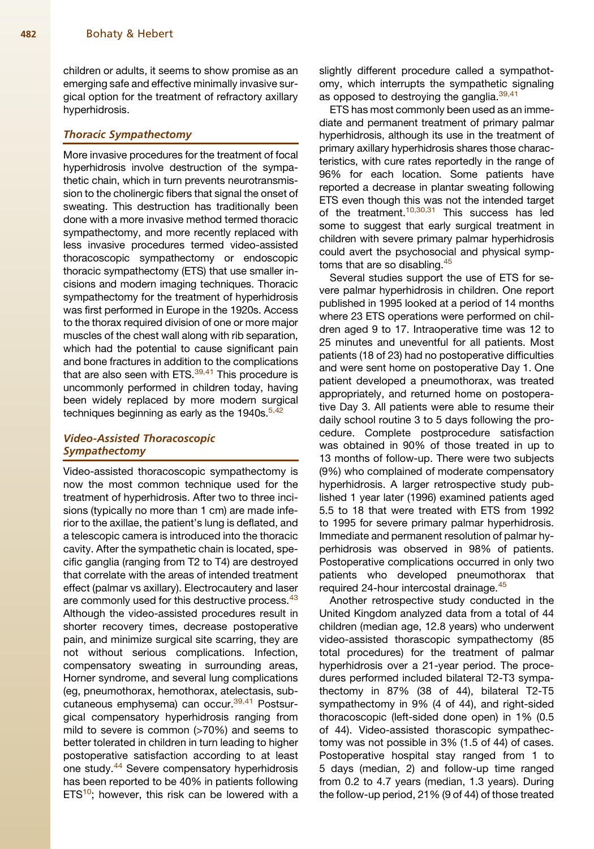children or adults, it seems to show promise as an emerging safe and effective minimally invasive surgical option for the treatment of refractory axillary hyperhidrosis.

## Thoracic Sympathectomy

More invasive procedures for the treatment of focal hyperhidrosis involve destruction of the sympathetic chain, which in turn prevents neurotransmission to the cholinergic fibers that signal the onset of sweating. This destruction has traditionally been done with a more invasive method termed thoracic sympathectomy, and more recently replaced with less invasive procedures termed video-assisted thoracoscopic sympathectomy or endoscopic thoracic sympathectomy (ETS) that use smaller incisions and modern imaging techniques. Thoracic sympathectomy for the treatment of hyperhidrosis was first performed in Europe in the 1920s. Access to the thorax required division of one or more major muscles of the chest wall along with rib separation, which had the potential to cause significant pain and bone fractures in addition to the complications that are also seen with ETS. $39,41$  This procedure is uncommonly performed in children today, having been widely replaced by more modern surgical techniques beginning as early as the  $1940s.^{5,42}$  $1940s.^{5,42}$  $1940s.^{5,42}$ 

# Video-Assisted Thoracoscopic Sympathectomy

Video-assisted thoracoscopic sympathectomy is now the most common technique used for the treatment of hyperhidrosis. After two to three incisions (typically no more than 1 cm) are made inferior to the axillae, the patient's lung is deflated, and a telescopic camera is introduced into the thoracic cavity. After the sympathetic chain is located, specific ganglia (ranging from T2 to T4) are destroyed that correlate with the areas of intended treatment effect (palmar vs axillary). Electrocautery and laser are commonly used for this destructive process.<sup>[43](#page-7-0)</sup> Although the video-assisted procedures result in shorter recovery times, decrease postoperative pain, and minimize surgical site scarring, they are not without serious complications. Infection, compensatory sweating in surrounding areas, Horner syndrome, and several lung complications (eg, pneumothorax, hemothorax, atelectasis, sub-cutaneous emphysema) can occur.<sup>[39,41](#page-7-0)</sup> Postsurgical compensatory hyperhidrosis ranging from mild to severe is common (>70%) and seems to better tolerated in children in turn leading to higher postoperative satisfaction according to at least one study.<sup>[44](#page-7-0)</sup> Severe compensatory hyperhidrosis has been reported to be 40% in patients following  $ETS<sup>10</sup>$ ; however, this risk can be lowered with a

slightly different procedure called a sympathotomy, which interrupts the sympathetic signaling as opposed to destroying the ganglia. $39,41$ 

ETS has most commonly been used as an immediate and permanent treatment of primary palmar hyperhidrosis, although its use in the treatment of primary axillary hyperhidrosis shares those characteristics, with cure rates reportedly in the range of 96% for each location. Some patients have reported a decrease in plantar sweating following ETS even though this was not the intended target of the treatment.<sup>10,30,31</sup> This success has led some to suggest that early surgical treatment in children with severe primary palmar hyperhidrosis could avert the psychosocial and physical symptoms that are so disabling.<sup>45</sup>

Several studies support the use of ETS for severe palmar hyperhidrosis in children. One report published in 1995 looked at a period of 14 months where 23 ETS operations were performed on children aged 9 to 17. Intraoperative time was 12 to 25 minutes and uneventful for all patients. Most patients (18 of 23) had no postoperative difficulties and were sent home on postoperative Day 1. One patient developed a pneumothorax, was treated appropriately, and returned home on postoperative Day 3. All patients were able to resume their daily school routine 3 to 5 days following the procedure. Complete postprocedure satisfaction was obtained in 90% of those treated in up to 13 months of follow-up. There were two subjects (9%) who complained of moderate compensatory hyperhidrosis. A larger retrospective study published 1 year later (1996) examined patients aged 5.5 to 18 that were treated with ETS from 1992 to 1995 for severe primary palmar hyperhidrosis. Immediate and permanent resolution of palmar hyperhidrosis was observed in 98% of patients. Postoperative complications occurred in only two patients who developed pneumothorax that required 24-hour intercostal drainage.<sup>[45](#page-7-0)</sup>

Another retrospective study conducted in the United Kingdom analyzed data from a total of 44 children (median age, 12.8 years) who underwent video-assisted thorascopic sympathectomy (85 total procedures) for the treatment of palmar hyperhidrosis over a 21-year period. The procedures performed included bilateral T2-T3 sympathectomy in 87% (38 of 44), bilateral T2-T5 sympathectomy in 9% (4 of 44), and right-sided thoracoscopic (left-sided done open) in 1% (0.5 of 44). Video-assisted thorascopic sympathectomy was not possible in 3% (1.5 of 44) of cases. Postoperative hospital stay ranged from 1 to 5 days (median, 2) and follow-up time ranged from 0.2 to 4.7 years (median, 1.3 years). During the follow-up period, 21% (9 of 44) of those treated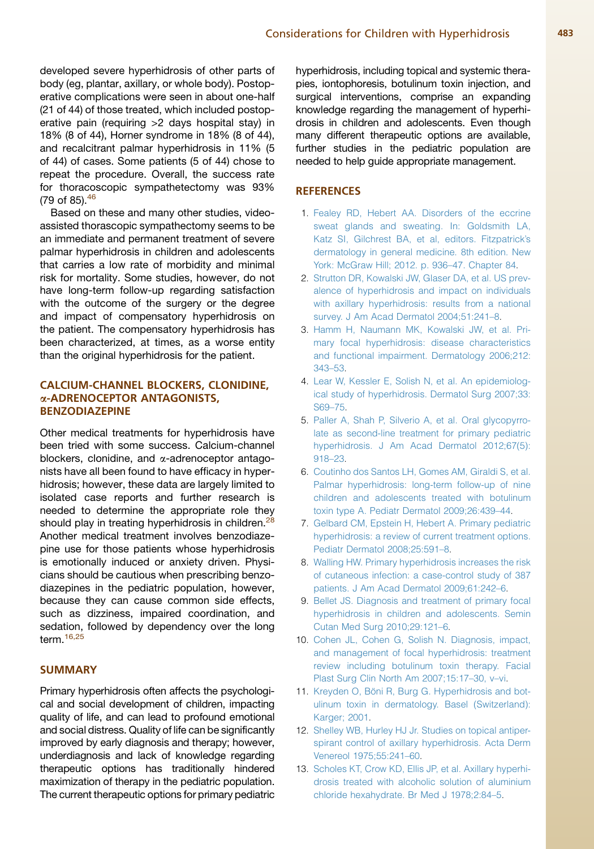<span id="page-6-0"></span>developed severe hyperhidrosis of other parts of body (eg, plantar, axillary, or whole body). Postoperative complications were seen in about one-half (21 of 44) of those treated, which included postoperative pain (requiring >2 days hospital stay) in 18% (8 of 44), Horner syndrome in 18% (8 of 44), and recalcitrant palmar hyperhidrosis in 11% (5 of 44) of cases. Some patients (5 of 44) chose to repeat the procedure. Overall, the success rate for thoracoscopic sympathetectomy was 93% (79 of 85).<sup>[46](#page-7-0)</sup>

Based on these and many other studies, videoassisted thorascopic sympathectomy seems to be an immediate and permanent treatment of severe palmar hyperhidrosis in children and adolescents that carries a low rate of morbidity and minimal risk for mortality. Some studies, however, do not have long-term follow-up regarding satisfaction with the outcome of the surgery or the degree and impact of compensatory hyperhidrosis on the patient. The compensatory hyperhidrosis has been characterized, at times, as a worse entity than the original hyperhidrosis for the patient.

# CALCIUM-CHANNEL BLOCKERS, CLONIDINE, a-ADRENOCEPTOR ANTAGONISTS, BENZODIAZEPINE

Other medical treatments for hyperhidrosis have been tried with some success. Calcium-channel blockers, clonidine, and  $\alpha$ -adrenoceptor antagonists have all been found to have efficacy in hyperhidrosis; however, these data are largely limited to isolated case reports and further research is needed to determine the appropriate role they should play in treating hyperhidrosis in children.<sup>[28](#page-7-0)</sup> Another medical treatment involves benzodiazepine use for those patients whose hyperhidrosis is emotionally induced or anxiety driven. Physicians should be cautious when prescribing benzodiazepines in the pediatric population, however, because they can cause common side effects, such as dizziness, impaired coordination, and sedation, followed by dependency over the long term.<sup>[16,25](#page-7-0)</sup>

## **SUMMARY**

Primary hyperhidrosis often affects the psychological and social development of children, impacting quality of life, and can lead to profound emotional and social distress. Quality of life can be significantly improved by early diagnosis and therapy; however, underdiagnosis and lack of knowledge regarding therapeutic options has traditionally hindered maximization of therapy in the pediatric population. The current therapeutic options for primary pediatric hyperhidrosis, including topical and systemic therapies, iontophoresis, botulinum toxin injection, and surgical interventions, comprise an expanding knowledge regarding the management of hyperhidrosis in children and adolescents. Even though many different therapeutic options are available, further studies in the pediatric population are needed to help guide appropriate management.

### **REFERENCES**

- 1. [Fealey RD, Hebert AA. Disorders of the eccrine](http://refhub.elsevier.com/S0733-8635(14)00072-2/sref1) [sweat glands and sweating. In: Goldsmith LA,](http://refhub.elsevier.com/S0733-8635(14)00072-2/sref1) [Katz SI, Gilchrest BA, et al, editors. Fitzpatrick's](http://refhub.elsevier.com/S0733-8635(14)00072-2/sref1) [dermatology in general medicine. 8th edition. New](http://refhub.elsevier.com/S0733-8635(14)00072-2/sref1) [York: McGraw Hill; 2012. p. 936–47. Chapter 84.](http://refhub.elsevier.com/S0733-8635(14)00072-2/sref1)
- 2. [Strutton DR, Kowalski JW, Glaser DA, et al. US prev](http://refhub.elsevier.com/S0733-8635(14)00072-2/sref2)[alence of hyperhidrosis and impact on individuals](http://refhub.elsevier.com/S0733-8635(14)00072-2/sref2) [with axillary hyperhidrosis: results from a national](http://refhub.elsevier.com/S0733-8635(14)00072-2/sref2) [survey. J Am Acad Dermatol 2004;51:241–8.](http://refhub.elsevier.com/S0733-8635(14)00072-2/sref2)
- 3. [Hamm H, Naumann MK, Kowalski JW, et al. Pri](http://refhub.elsevier.com/S0733-8635(14)00072-2/sref3)[mary focal hyperhidrosis: disease characteristics](http://refhub.elsevier.com/S0733-8635(14)00072-2/sref3) [and functional impairment. Dermatology 2006;212:](http://refhub.elsevier.com/S0733-8635(14)00072-2/sref3) [343–53.](http://refhub.elsevier.com/S0733-8635(14)00072-2/sref3)
- 4. [Lear W, Kessler E, Solish N, et al. An epidemiolog](http://refhub.elsevier.com/S0733-8635(14)00072-2/sref4)[ical study of hyperhidrosis. Dermatol Surg 2007;33:](http://refhub.elsevier.com/S0733-8635(14)00072-2/sref4) [S69–75](http://refhub.elsevier.com/S0733-8635(14)00072-2/sref4).
- 5. [Paller A, Shah P, Silverio A, et al. Oral glycopyrro](http://refhub.elsevier.com/S0733-8635(14)00072-2/sref5)[late as second-line treatment for primary pediatric](http://refhub.elsevier.com/S0733-8635(14)00072-2/sref5) [hyperhidrosis. J Am Acad Dermatol 2012;67\(5\):](http://refhub.elsevier.com/S0733-8635(14)00072-2/sref5) [918–23.](http://refhub.elsevier.com/S0733-8635(14)00072-2/sref5)
- 6. [Coutinho dos Santos LH, Gomes AM, Giraldi S, et al.](http://refhub.elsevier.com/S0733-8635(14)00072-2/sref6) [Palmar hyperhidrosis: long-term follow-up of nine](http://refhub.elsevier.com/S0733-8635(14)00072-2/sref6) [children and adolescents treated with botulinum](http://refhub.elsevier.com/S0733-8635(14)00072-2/sref6) [toxin type A. Pediatr Dermatol 2009;26:439–44](http://refhub.elsevier.com/S0733-8635(14)00072-2/sref6).
- 7. [Gelbard CM, Epstein H, Hebert A. Primary pediatric](http://refhub.elsevier.com/S0733-8635(14)00072-2/sref7) [hyperhidrosis: a review of current treatment options.](http://refhub.elsevier.com/S0733-8635(14)00072-2/sref7) [Pediatr Dermatol 2008;25:591–8](http://refhub.elsevier.com/S0733-8635(14)00072-2/sref7).
- 8. [Walling HW. Primary hyperhidrosis increases the risk](http://refhub.elsevier.com/S0733-8635(14)00072-2/sref8) [of cutaneous infection: a case-control study of 387](http://refhub.elsevier.com/S0733-8635(14)00072-2/sref8) [patients. J Am Acad Dermatol 2009;61:242–6](http://refhub.elsevier.com/S0733-8635(14)00072-2/sref8).
- 9. [Bellet JS. Diagnosis and treatment of primary focal](http://refhub.elsevier.com/S0733-8635(14)00072-2/sref9) [hyperhidrosis in children and adolescents. Semin](http://refhub.elsevier.com/S0733-8635(14)00072-2/sref9) [Cutan Med Surg 2010;29:121–6](http://refhub.elsevier.com/S0733-8635(14)00072-2/sref9).
- 10. [Cohen JL, Cohen G, Solish N. Diagnosis, impact,](http://refhub.elsevier.com/S0733-8635(14)00072-2/sref10) [and management of focal hyperhidrosis: treatment](http://refhub.elsevier.com/S0733-8635(14)00072-2/sref10) [review including botulinum toxin therapy. Facial](http://refhub.elsevier.com/S0733-8635(14)00072-2/sref10) [Plast Surg Clin North Am 2007;15:17–30, v–vi](http://refhub.elsevier.com/S0733-8635(14)00072-2/sref10).
- 11. Kreyden O, Böni R, Burg G. Hyperhidrosis and bot[ulinum toxin in dermatology. Basel \(Switzerland\):](http://refhub.elsevier.com/S0733-8635(14)00072-2/sref11) [Karger; 2001.](http://refhub.elsevier.com/S0733-8635(14)00072-2/sref11)
- 12. [Shelley WB, Hurley HJ Jr. Studies on topical antiper](http://refhub.elsevier.com/S0733-8635(14)00072-2/sref12)[spirant control of axillary hyperhidrosis. Acta Derm](http://refhub.elsevier.com/S0733-8635(14)00072-2/sref12) [Venereol 1975;55:241–60](http://refhub.elsevier.com/S0733-8635(14)00072-2/sref12).
- 13. [Scholes KT, Crow KD, Ellis JP, et al. Axillary hyperhi](http://refhub.elsevier.com/S0733-8635(14)00072-2/sref13)[drosis treated with alcoholic solution of aluminium](http://refhub.elsevier.com/S0733-8635(14)00072-2/sref13) [chloride hexahydrate. Br Med J 1978;2:84–5.](http://refhub.elsevier.com/S0733-8635(14)00072-2/sref13)